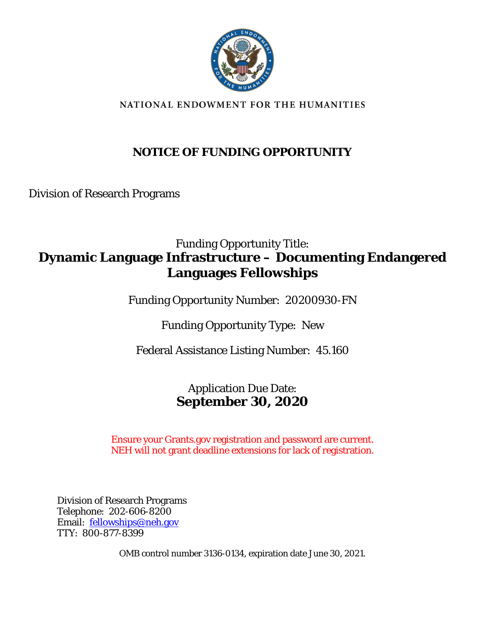

NATIONAL ENDOWMENT FOR THE HUMANITIES

### **NOTICE OF FUNDING OPPORTUNITY**

Division of Research Programs

### Funding Opportunity Title: **Dynamic Language Infrastructure – Documenting Endangered Languages Fellowships**

Funding Opportunity Number: 20200930-FN

Funding Opportunity Type: New

Federal Assistance Listing Number: 45.160

### Application Due Date: **September 30, 2020**

Ensure your Grants.gov registration and password are current. NEH will not grant deadline extensions for lack of registration.

Division of Research Programs Telephone: 202-606-8200 Email: [fellowships@neh.gov](mailto:fellowships@neh.gov) TTY: 800-877-8399

OMB control number 3136-0134, expiration date June 30, 2021.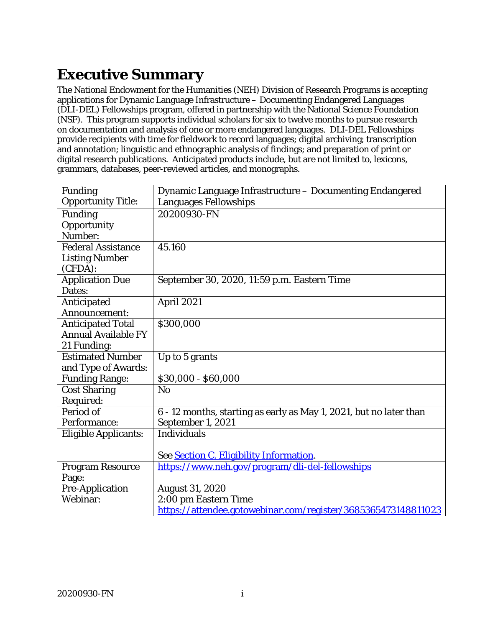# **Executive Summary**

The National Endowment for the Humanities (NEH) Division of Research Programs is accepting applications for Dynamic Language Infrastructure – Documenting Endangered Languages (DLI-DEL) Fellowships program, offered in partnership with the National Science Foundation (NSF). This program supports individual scholars for six to twelve months to pursue research on documentation and analysis of one or more endangered languages. DLI-DEL Fellowships provide recipients with time for fieldwork to record languages; digital archiving; transcription and annotation; linguistic and ethnographic analysis of findings; and preparation of print or digital research publications. Anticipated products include, but are not limited to, lexicons, grammars, databases, peer-reviewed articles, and monographs.

| Funding                     | Dynamic Language Infrastructure - Documenting Endangered           |
|-----------------------------|--------------------------------------------------------------------|
| <b>Opportunity Title:</b>   | <b>Languages Fellowships</b>                                       |
| <b>Funding</b>              | 20200930-FN                                                        |
| Opportunity                 |                                                                    |
| Number:                     |                                                                    |
| <b>Federal Assistance</b>   | 45.160                                                             |
| <b>Listing Number</b>       |                                                                    |
| $(CFDA)$ :                  |                                                                    |
| <b>Application Due</b>      | September 30, 2020, 11:59 p.m. Eastern Time                        |
| Dates:                      |                                                                    |
| Anticipated                 | April 2021                                                         |
| Announcement:               |                                                                    |
| <b>Anticipated Total</b>    | \$300,000                                                          |
| <b>Annual Available FY</b>  |                                                                    |
| 21 Funding:                 |                                                                    |
| <b>Estimated Number</b>     | Up to 5 grants                                                     |
| and Type of Awards:         |                                                                    |
| <b>Funding Range:</b>       | \$30,000 - \$60,000                                                |
| <b>Cost Sharing</b>         | N <sub>o</sub>                                                     |
| Required:                   |                                                                    |
| Period of                   | 6 - 12 months, starting as early as May 1, 2021, but no later than |
| Performance:                | September 1, 2021                                                  |
| <b>Eligible Applicants:</b> | <b>Individuals</b>                                                 |
|                             |                                                                    |
|                             | See Section C. Eligibility Information.                            |
| <b>Program Resource</b>     | https://www.neh.gov/program/dli-del-fellowships                    |
| Page:                       |                                                                    |
| <b>Pre-Application</b>      | <b>August 31, 2020</b>                                             |
| Webinar:                    | 2:00 pm Eastern Time                                               |
|                             | https://attendee.gotowebinar.com/register/3685365473148811023      |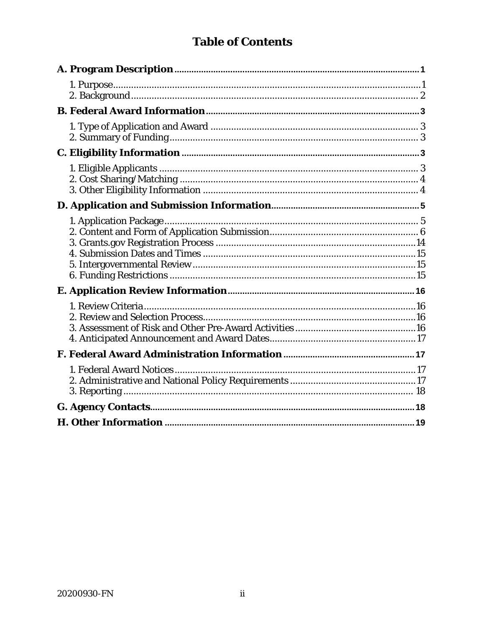### **Table of Contents**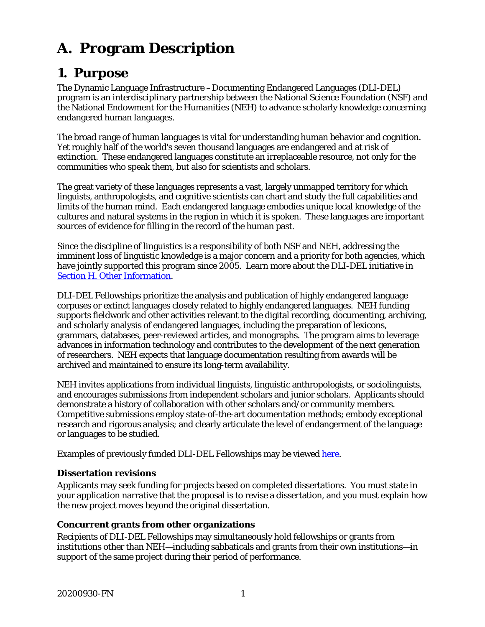# <span id="page-3-0"></span>**A. Program Description**

### <span id="page-3-1"></span>**1. Purpose**

The Dynamic Language Infrastructure –Documenting Endangered Languages (DLI-DEL) program is an interdisciplinary partnership between the National Science Foundation (NSF) and the National Endowment for the Humanities (NEH) to advance scholarly knowledge concerning endangered human languages.

The broad range of human languages is vital for understanding human behavior and cognition. Yet roughly half of the world's seven thousand languages are endangered and at risk of extinction. These endangered languages constitute an irreplaceable resource, not only for the communities who speak them, but also for scientists and scholars.

The great variety of these languages represents a vast, largely unmapped territory for which linguists, anthropologists, and cognitive scientists can chart and study the full capabilities and limits of the human mind. Each endangered language embodies unique local knowledge of the cultures and natural systems in the region in which it is spoken. These languages are important sources of evidence for filling in the record of the human past.

Since the discipline of linguistics is a responsibility of both NSF and NEH, addressing the imminent loss of linguistic knowledge is a major concern and a priority for both agencies, which have jointly supported this program since 2005. Learn more about the DLI-DEL initiative in [Section H. Other Information.](#page-21-0)

DLI-DEL Fellowships prioritize the analysis and publication of highly endangered language corpuses or extinct languages closely related to highly endangered languages. NEH funding supports fieldwork and other activities relevant to the digital recording, documenting, archiving, and scholarly analysis of endangered languages, including the preparation of lexicons, grammars, databases, peer-reviewed articles, and monographs. The program aims to leverage advances in information technology and contributes to the development of the next generation of researchers. NEH expects that language documentation resulting from awards will be archived and maintained to ensure its long-term availability.

NEH invites applications from individual linguists, linguistic anthropologists, or sociolinguists, and encourages submissions from independent scholars and junior scholars. Applicants should demonstrate a history of collaboration with other scholars and/or community members. Competitive submissions employ state-of-the-art documentation methods; embody exceptional research and rigorous analysis; and clearly articulate the level of endangerment of the language or languages to be studied.

Examples of previously funded DLI-DEL Fellowships may be viewed [here.](https://securegrants.neh.gov/publicquery/main.aspx?q=1&a=0&n=0&o=0&ot=0&k=0&f=0&s=0&cd=0&p=1&pv=238&d=0&at=0&y=0&prd=0&cov=0&prz=0&wp=0&ob=year&or=DESC)

#### **Dissertation revisions**

Applicants may seek funding for projects based on completed dissertations. You must state in your application narrative that the proposal is to revise a dissertation, and you must explain how the new project moves beyond the original dissertation.

#### **Concurrent grants from other organizations**

Recipients of DLI-DEL Fellowships may simultaneously hold fellowships or grants from institutions other than NEH—including sabbaticals and grants from their own institutions—in support of the same project during their period of performance.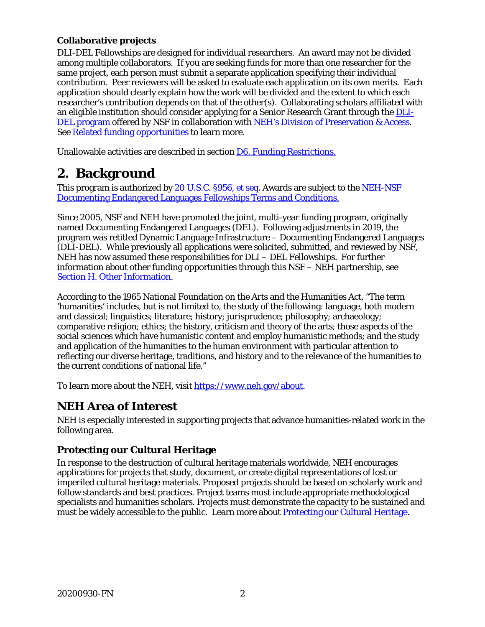#### **Collaborative projects**

DLI-DEL Fellowships are designed for individual researchers. An award may not be divided among multiple collaborators. If you are seeking funds for more than one researcher for the same project, each person must submit a separate application specifying their individual contribution. Peer reviewers will be asked to evaluate each application on its own merits. Each application should clearly explain how the work will be divided and the extent to which each researcher's contribution depends on that of the other(s). Collaborating scholars affiliated with an eligible institution should consider applying for a Senior Research Grant through the [DLI-](https://www.nsf.gov/pubs/2019/nsf19606/nsf19606.htm)[DEL program](https://www.nsf.gov/pubs/2019/nsf19606/nsf19606.htm) offered by NSF in collaboration with [NEH's Division of Preservation & Access.](https://www.neh.gov/grants/preservation/documenting-endangered-languages) See [Related funding opportunities](#page-21-1) to learn more.

<span id="page-4-0"></span>Unallowable activities are described in section [D6. Funding Restrictions.](#page-17-2)

### **2. Background**

This program is authorized by [20 U.S.C.](https://uscode.house.gov/view.xhtml?req=(title:20%20section:956a%20edition:prelim)) §956, *et seq*. Awards are subject to the [NEH-NSF](https://www.neh.gov/grants/manage/neh-nsf-documenting-endangered-languages-fellowships-terms-and-conditions)  [Documenting Endangered Languages Fellowships Terms and Conditions.](https://www.neh.gov/grants/manage/neh-nsf-documenting-endangered-languages-fellowships-terms-and-conditions)

Since 2005, NSF and NEH have promoted the joint, multi-year funding program, originally named Documenting Endangered Languages (DEL). Following adjustments in 2019, the program was retitled Dynamic Language Infrastructure – Documenting Endangered Languages (DLI-DEL). While previously all applications were solicited, submitted, and reviewed by NSF, NEH has now assumed these responsibilities for DLI – DEL Fellowships. For further information about other funding opportunities through this NSF – NEH partnership, see [Section H. Other Information.](#page-21-0)

According to the 1965 National Foundation on the Arts and the Humanities Act, "The term 'humanities' includes, but is not limited to, the study of the following: language, both modern and classical; linguistics; literature; history; jurisprudence; philosophy; archaeology; comparative religion; ethics; the history, criticism and theory of the arts; those aspects of the social sciences which have humanistic content and employ humanistic methods; and the study and application of the humanities to the human environment with particular attention to reflecting our diverse heritage, traditions, and history and to the relevance of the humanities to the current conditions of national life."

To learn more about the NEH, visit [https://www.neh.gov/about.](https://www.neh.gov/about)

#### **NEH Area of Interest**

NEH is especially interested in supporting projects that advance humanities-related work in the following area.

#### **Protecting our Cultural Heritage**

In response to the destruction of cultural heritage materials worldwide, NEH encourages applications for projects that study, document, or create digital representations of lost or imperiled cultural heritage materials. Proposed projects should be based on scholarly work and follow standards and best practices. Project teams must include appropriate methodological specialists and humanities scholars. Projects must demonstrate the capacity to be sustained and must be widely accessible to the public. Learn more about [Protecting our Cultural Heritage.](https://www.neh.gov/grants/protecting-our-cultural-heritage)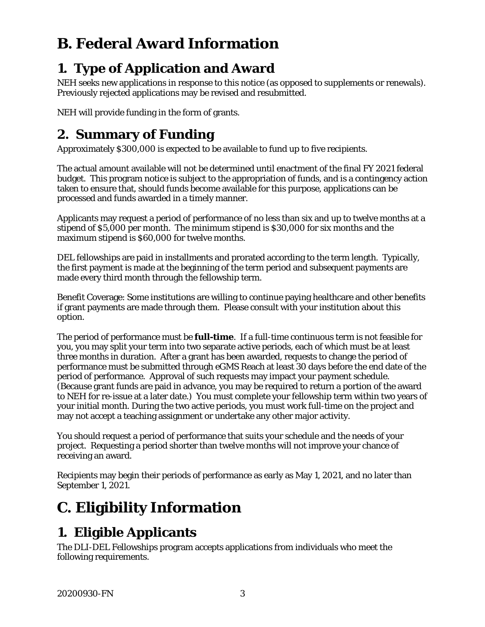# <span id="page-5-1"></span>**B. Federal Award Information**

## <span id="page-5-2"></span>**1. Type of Application and Award**

NEH seeks new applications in response to this notice (as opposed to supplements or renewals). Previously rejected applications may be revised and resubmitted.

NEH will provide funding in the form of grants.

## <span id="page-5-3"></span>**2. Summary of Funding**

Approximately \$300,000 is expected to be available to fund up to five recipients.

The actual amount available will not be determined until enactment of the final FY 2021 federal budget. This program notice is subject to the appropriation of funds, and is a contingency action taken to ensure that, should funds become available for this purpose, applications can be processed and funds awarded in a timely manner.

Applicants may request a period of performance of no less than six and up to twelve months at a stipend of \$5,000 per month. The minimum stipend is \$30,000 for six months and the maximum stipend is \$60,000 for twelve months.

DEL fellowships are paid in installments and prorated according to the term length. Typically, the first payment is made at the beginning of the term period and subsequent payments are made every third month through the fellowship term.

Benefit Coverage: Some institutions are willing to continue paying healthcare and other benefits if grant payments are made through them. Please consult with your institution about this option.

The period of performance must be **full-time**. If a full-time continuous term is not feasible for you, you may split your term into two separate active periods, each of which must be at least three months in duration. After a grant has been awarded, requests to change the period of performance must be submitted through eGMS Reach at least 30 days before the end date of the period of performance. Approval of such requests may impact your payment schedule. (Because grant funds are paid in advance, you may be required to return a portion of the award to NEH for re-issue at a later date.) You must complete your fellowship term within two years of your initial month. During the two active periods, you must work full-time on the project and may not accept a teaching assignment or undertake any other major activity.

You should request a period of performance that suits your schedule and the needs of your project. Requesting a period shorter than twelve months will not improve your chance of receiving an award.

Recipients may begin their periods of performance as early as May 1, 2021, and no later than September 1, 2021.

# <span id="page-5-0"></span>**C. Eligibility Information**

## <span id="page-5-4"></span>**1. Eligible Applicants**

The DLI-DEL Fellowships program accepts applications from individuals who meet the following requirements.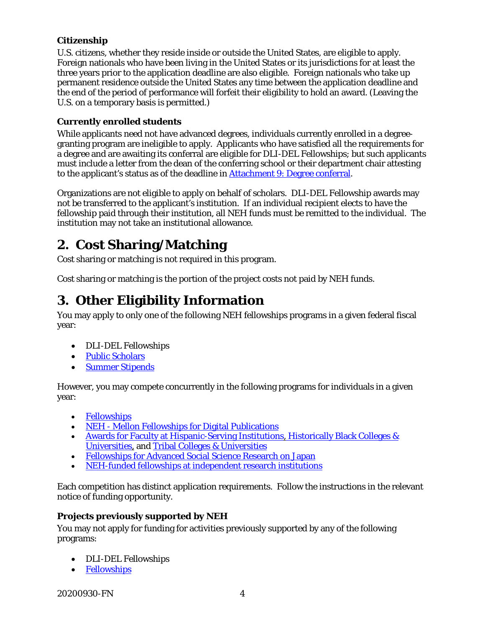#### **Citizenship**

U.S. citizens, whether they reside inside or outside the United States, are eligible to apply. Foreign nationals who have been living in the United States or its jurisdictions for at least the three years prior to the application deadline are also eligible. Foreign nationals who take up permanent residence outside the United States any time between the application deadline and the end of the period of performance will forfeit their eligibility to hold an award. (Leaving the U.S. on a temporary basis is permitted.)

#### **Currently enrolled students**

While applicants need not have advanced degrees, individuals currently enrolled in a degreegranting program are ineligible to apply. Applicants who have satisfied all the requirements for a degree and are awaiting its conferral are eligible for DLI-DEL Fellowships; but such applicants must include a letter from the dean of the conferring school or their department chair attesting to the applicant's status as of the deadline in Attachment 9: Degree conferral.

Organizations are not eligible to apply on behalf of scholars. DLI-DEL Fellowship awards may not be transferred to the applicant's institution. If an individual recipient elects to have the fellowship paid through their institution, all NEH funds must be remitted to the individual. The institution may not take an institutional allowance.

## <span id="page-6-0"></span>**2. Cost Sharing/Matching**

Cost sharing or matching is not required in this program.

Cost sharing or matching is the portion of the project costs not paid by NEH funds.

## <span id="page-6-1"></span>**3. Other Eligibility Information**

You may apply to only one of the following NEH fellowships programs in a given federal fiscal year:

- DLI-DEL Fellowships
- [Public Scholars](http://www.neh.gov/grants/research/public-scholar-program)
- [Summer Stipends](http://www.neh.gov/grants/research/summer-stipends)

However, you may compete concurrently in the following programs for individuals in a given year:

- [Fellowships](https://www.neh.gov/grants/research/fellowships)
- NEH [Mellon Fellowships for Digital Publications](https://www.neh.gov/grants/research/neh-mellon-fellowships-digital-publication)
- [Awards for Faculty at Hispanic-Serving Institutions,](https://www.neh.gov/grants/research/awards-faculty-hispanic-serving-institutions) Historically Black Colleges & [Universities,](https://www.neh.gov/grants/research/awards-faculty-historically-black-colleges-and-universities) and [Tribal Colleges & Universities](https://www.neh.gov/grants/research/awards-faculty-tribal-colleges-and-universities)
- [Fellowships for Advanced Social Science Research on Japan](https://www.neh.gov/grants/research/fellowships-advanced-social-science-research-japan)
- [NEH-funded fellowships at independent research institutions](https://www.neh.gov/divisions/research/fpiri-supported-fellowships)

Each competition has distinct application requirements. Follow the instructions in the relevant notice of funding opportunity.

#### **Projects previously supported by NEH**

You may not apply for funding for activities previously supported by any of the following programs:

- DLI-DEL Fellowships
- **[Fellowships](https://www.neh.gov/grants/research/fellowships)**

20200930-FN 4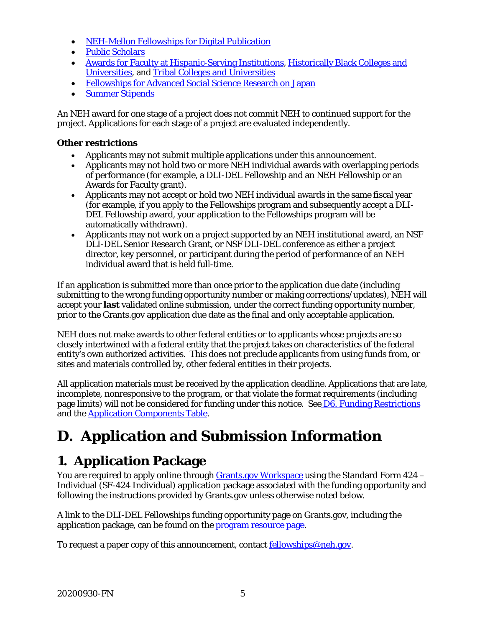- [NEH-Mellon Fellowships for Digital Publication](https://www.neh.gov/grants/research/neh-mellon-fellowships-digital-publication)
- [Public Scholars](https://www.neh.gov/grants/research/public-scholar-program)
- [Awards for Faculty at Hispanic-Serving Institutions,](https://www.neh.gov/grants/research/awards-faculty-hispanic-serving-institutions) [Historically Black Colleges and](https://www.neh.gov/grants/research/awards-faculty-historically-black-colleges-and-universities)  [Universities,](https://www.neh.gov/grants/research/awards-faculty-historically-black-colleges-and-universities) and [Tribal Colleges and Universities](https://www.neh.gov/grants/research/awards-faculty-tribal-colleges-and-universities)
- Fellowships [for Advanced Social Science Research on Japan](https://www.neh.gov/grants/research/fellowships-advanced-social-science-research-japan)
- [Summer Stipends](http://www.neh.gov/grants/research/summer-stipends)

An NEH award for one stage of a project does not commit NEH to continued support for the project. Applications for each stage of a project are evaluated independently.

#### **Other restrictions**

- Applicants may not submit multiple applications under this announcement.
- Applicants may not hold two or more NEH individual awards with overlapping periods of performance (for example, a DLI-DEL Fellowship and an NEH Fellowship or an Awards for Faculty grant).
- Applicants may not accept or hold two NEH individual awards in the same fiscal year (for example, if you apply to the Fellowships program and subsequently accept a DLI-DEL Fellowship award, your application to the Fellowships program will be automatically withdrawn).
- Applicants may not work on a project supported by an NEH institutional award, an NSF DLI-DEL Senior Research Grant, or NSF DLI-DEL conference as either a project director, key personnel, or participant during the period of performance of an NEH individual award that is held full-time.

If an application is submitted more than once prior to the application due date (including submitting to the wrong funding opportunity number or making corrections/updates), NEH will accept your **last** validated online submission, under the correct funding opportunity number, prior to the Grants.gov application due date as the final and only acceptable application.

NEH does not make awards to other federal entities or to applicants whose projects are so closely intertwined with a federal entity that the project takes on characteristics of the federal entity's own authorized activities. This does not preclude applicants from using funds from, or sites and materials controlled by, other federal entities in their projects.

All application materials must be received by the application deadline. Applications that are late, incomplete, nonresponsive to the program, or that violate the format requirements (including page limits) will not be considered for funding under this notice. See D6. [Funding Restrictions](#page-17-2) and the [Application Components Table.](#page-8-0)

# <span id="page-7-0"></span>**D. Application and Submission Information**

## <span id="page-7-1"></span>**1. Application Package**

You are required to apply online through [Grants.gov Workspace](https://www.grants.gov/web/grants/applicants/workspace-overview.html) using the Standard Form 424 – Individual (SF-424 Individual) application package associated with the funding opportunity and following the instructions provided by Grants.gov unless otherwise noted below.

A link to the DLI-DEL Fellowships funding opportunity page on Grants.gov, including the application package, can be found on the [program resource page.](https://www.neh.gov/program/dli-del-fellowships)

To request a paper copy of this announcement, contact [fellowships@neh.gov.](mailto:fellowships@neh.gov)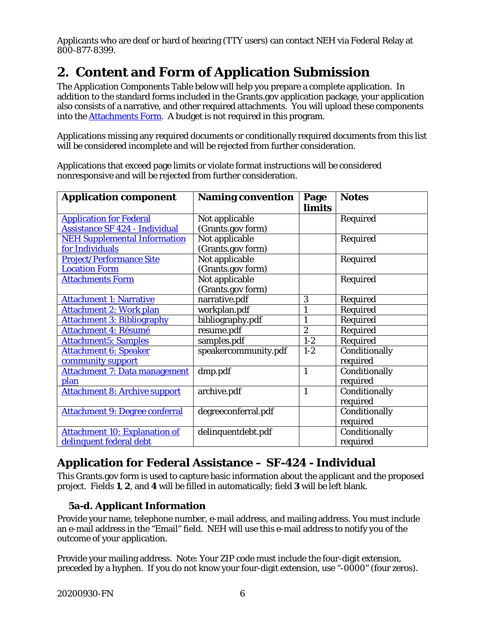Applicants who are deaf or hard of hearing (TTY users) can contact NEH via Federal Relay at 800-877-8399.

## <span id="page-8-0"></span>**2. Content and Form of Application Submission**

The Application Components Table below will help you prepare a complete application. In addition to the standard forms included in the Grants.gov application package, your application also consists of a narrative, and other required attachments. You will upload these components into the [Attachments Form.](#page-11-0) A budget is not required in this program.

Applications missing any required documents or conditionally required documents from this list will be considered incomplete and will be rejected from further consideration.

Applications that exceed page limits or violate format instructions will be considered nonresponsive and will be rejected from further consideration.

| <b>Application component</b>          | <b>Naming convention</b> | Page<br>limits   | <b>Notes</b>  |
|---------------------------------------|--------------------------|------------------|---------------|
| <b>Application for Federal</b>        | Not applicable           |                  | Required      |
| <b>Assistance SF 424 - Individual</b> | (Grants.gov form)        |                  |               |
| <b>NEH Supplemental Information</b>   | Not applicable           |                  | Required      |
| for Individuals                       | (Grants.gov form)        |                  |               |
| <b>Project/Performance Site</b>       | Not applicable           |                  | Required      |
| <b>Location Form</b>                  | (Grants.gov form)        |                  |               |
| <b>Attachments Form</b>               | Not applicable           |                  | Required      |
|                                       | (Grants.gov form)        |                  |               |
| <b>Attachment 1: Narrative</b>        | narrative.pdf            | 3                | Required      |
| <b>Attachment 2: Work plan</b>        | workplan.pdf             | 1                | Required      |
| <b>Attachment 3: Bibliography</b>     | bibliography.pdf         | $\mathbf{1}$     | Required      |
| Attachment 4: Résumé                  | resume.pdf               | $\boldsymbol{2}$ | Required      |
| <b>Attachment5: Samples</b>           | samples.pdf              | $1-2$            | Required      |
| <b>Attachment 6: Speaker</b>          | speakercommunity.pdf     | $1-2$            | Conditionally |
| community support                     |                          |                  | required      |
| <b>Attachment 7: Data management</b>  | dmp.pdf                  | $\mathbf{1}$     | Conditionally |
| plan                                  |                          |                  | required      |
| <b>Attachment 8: Archive support</b>  | archive.pdf              | $\mathbf{1}$     | Conditionally |
|                                       |                          |                  | required      |
| <b>Attachment 9: Degree conferral</b> | degreeconferral.pdf      |                  | Conditionally |
|                                       |                          |                  | required      |
| <b>Attachment 10: Explanation of</b>  | delinquentdebt.pdf       |                  | Conditionally |
| delinquent federal debt               |                          |                  | required      |

### <span id="page-8-1"></span>**Application for Federal Assistance – SF-424 - Individual**

This Grants.gov form is used to capture basic information about the applicant and the proposed project. Fields **1**, **2**, and **4** will be filled in automatically; field **3** will be left blank.

#### **5a-d. Applicant Information**

Provide your name, telephone number, e-mail address, and mailing address. You must include an e-mail address in the "Email" field. NEH will use this e-mail address to notify you of the outcome of your application.

Provide your mailing address. Note: Your ZIP code must include the four-digit extension, preceded by a hyphen. If you do not know your four-digit extension, use "-0000" (four zeros).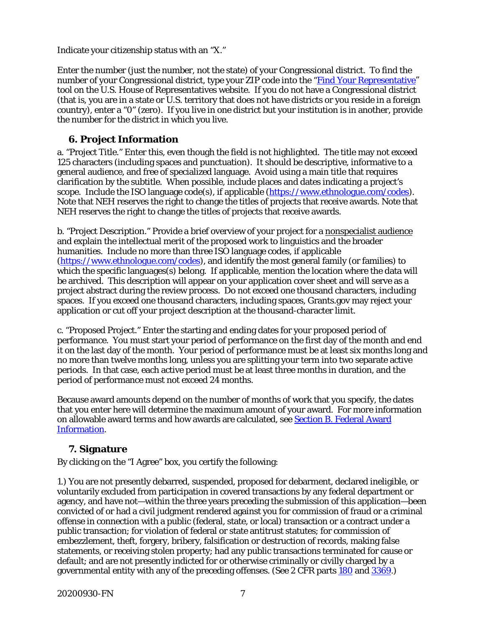Indicate your citizenship status with an "X."

Enter the number (just the number, not the state) of your Congressional district. To find the number of your Congressional district, type your ZIP code into the ["Find Your Representative"](https://www.house.gov/representatives/find-your-representative) tool on the U.S. House of Representatives website. If you do not have a Congressional district (that is, you are in a state or U.S. territory that does not have districts or you reside in a foreign country), enter a "0" (zero). If you live in one district but your institution is in another, provide the number for the district in which you live.

#### **6. Project Information**

a. "Project Title." Enter this, even though the field is not highlighted. The title may not exceed 125 characters (including spaces and punctuation). It should be descriptive, informative to a general audience, and free of specialized language. Avoid using a main title that requires clarification by the subtitle. When possible, include places and dates indicating a project's scope. Include the ISO language  $code(s)$ , if applicable  $(\frac{https://www.ethnologue.com/codes})$ . Note that NEH reserves the right to change the titles of projects that receive awards. Note that NEH reserves the right to change the titles of projects that receive awards.

b. "Project Description." Provide a brief overview of your project for a nonspecialist audience and explain the intellectual merit of the proposed work to linguistics and the broader humanities. Include no more than three ISO language codes, if applicable [\(https://www.ethnologue.com/codes\)](https://www.ethnologue.com/codes), and identify the most general family (or families) to which the specific languages(s) belong. If applicable, mention the location where the data will be archived. This description will appear on your application cover sheet and will serve as a project abstract during the review process. Do not exceed one thousand characters, including spaces. If you exceed one thousand characters, including spaces, Grants.gov may reject your application or cut off your project description at the thousand-character limit.

c. "Proposed Project." Enter the starting and ending dates for your proposed period of performance. You must start your period of performance on the first day of the month and end it on the last day of the month. Your period of performance must be at least six months long and no more than twelve months long, unless you are splitting your term into two separate active periods. In that case, each active period must be at least three months in duration, and the period of performance must not exceed 24 months.

Because award amounts depend on the number of months of work that you specify, the dates that you enter here will determine the maximum amount of your award. For more information on allowable award terms and how awards are calculated, see [Section B. Federal Award](#page-5-1)  [Information.](#page-5-1)

#### **7. Signature**

By clicking on the "I Agree" box, you certify the following:

1.) You are not presently debarred, suspended, proposed for debarment, declared ineligible, or voluntarily excluded from participation in covered transactions by any federal department or agency, and have not—within the three years preceding the submission of this application—been convicted of or had a civil judgment rendered against you for commission of fraud or a criminal offense in connection with a public (federal, state, or local) transaction or a contract under a public transaction; for violation of federal or state antitrust statutes; for commission of embezzlement, theft, forgery, bribery, falsification or destruction of records, making false statements, or receiving stolen property; had any public transactions terminated for cause or default; and are not presently indicted for or otherwise criminally or civilly charged by a governmental entity with any of the preceding offenses. (See 2 CFR parts [180](https://www.ecfr.gov/cgi-bin/text-idx?SID=c1289d8b76747052d92bcc65069016c1&mc=true&node=pt2.1.180&rgn=div5) and [3369.](https://www.ecfr.gov/cgi-bin/text-idx?SID=c1289d8b76747052d92bcc65069016c1&mc=true&node=pt2.1.3369&rgn=div5))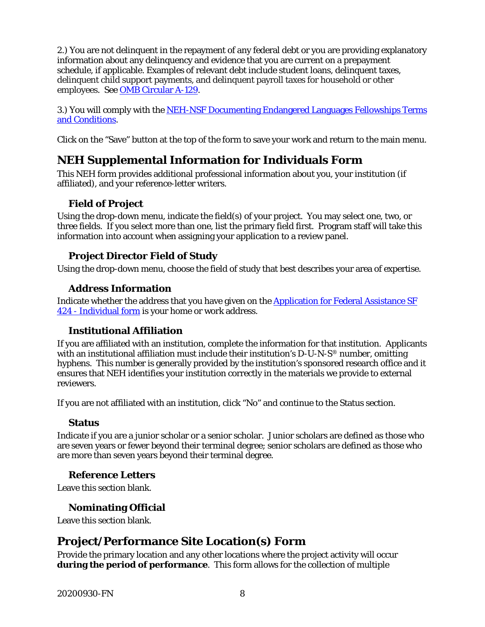<span id="page-10-0"></span>2.) You are not delinquent in the repayment of any federal debt or you are providing explanatory information about any delinquency and evidence that you are current on a prepayment schedule, if applicable. Examples of relevant debt include student loans, delinquent taxes, delinquent child support payments, and delinquent payroll taxes for household or other employees. See [OMB Circular A-129.](https://www.whitehouse.gov/sites/whitehouse.gov/files/omb/circulars/A129/a-129.pdf)

3.) You will comply with the [NEH-NSF Documenting Endangered Languages Fellowships Terms](https://www.neh.gov/grants/manage/neh-nsf-documenting-endangered-languages-fellowships-terms-and-conditions)  [and Conditions.](https://www.neh.gov/grants/manage/neh-nsf-documenting-endangered-languages-fellowships-terms-and-conditions)

Click on the "Save" button at the top of the form to save your work and return to the main menu.

### **NEH Supplemental Information for Individuals Form**

This NEH form provides additional professional information about you, your institution (if affiliated), and your reference-letter writers.

#### **Field of Project**

Using the drop-down menu, indicate the field(s) of your project. You may select one, two, or three fields. If you select more than one, list the primary field first. Program staff will take this information into account when assigning your application to a review panel.

#### **Project Director Field of Study**

Using the drop-down menu, choose the field of study that best describes your area of expertise.

#### **Address Information**

Indicate whether the address that you have given on the [Application for Federal Assistance SF](#page-8-1)  424 - [Individual form](#page-8-1) is your home or work address.

#### **Institutional Affiliation**

If you are affiliated with an institution, complete the information for that institution. Applicants with an institutional affiliation must include their institution's  $D-U-N-S^{\otimes}$  number, omitting hyphens. This number is generally provided by the institution's sponsored research office and it ensures that NEH identifies your institution correctly in the materials we provide to external reviewers.

If you are not affiliated with an institution, click "No" and continue to the Status section.

#### **Status**

Indicate if you are a junior scholar or a senior scholar. Junior scholars are defined as those who are seven years or fewer beyond their terminal degree; senior scholars are defined as those who are more than seven years beyond their terminal degree.

#### **Reference Letters**

Leave this section blank.

#### **Nominating Official**

Leave this section blank.

### **Project/Performance Site Location(s) Form**

Provide the primary location and any other locations where the project activity will occur **during the period of performance**. This form allows for the collection of multiple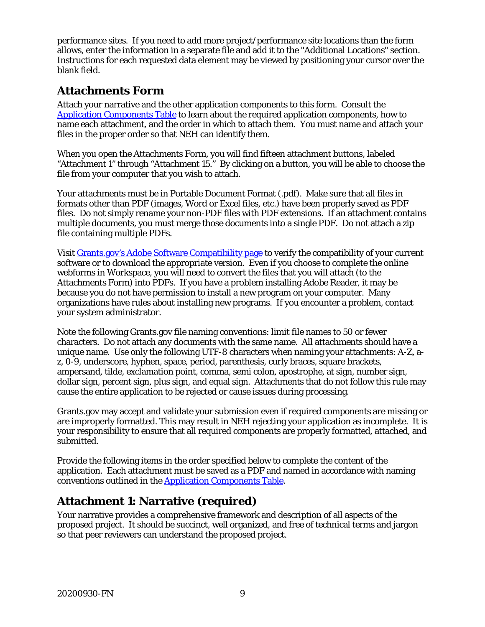<span id="page-11-0"></span>performance sites. If you need to add more project/performance site locations than the form allows, enter the information in a separate file and add it to the "Additional Locations" section. Instructions for each requested data element may be viewed by positioning your cursor over the blank field.

### **Attachments Form**

Attach your narrative and the other application components to this form. Consult the [Application Components](#page-8-0) Table to learn about the required application components, how to name each attachment, and the order in which to attach them. You must name and attach your files in the proper order so that NEH can identify them.

When you open the Attachments Form, you will find fifteen attachment buttons, labeled "Attachment 1" through "Attachment 15." By clicking on a button, you will be able to choose the file from your computer that you wish to attach.

Your attachments must be in Portable Document Format (.pdf). Make sure that all files in formats other than PDF (images, Word or Excel files, etc.) have been properly saved as PDF files. Do not simply rename your non-PDF files with PDF extensions. If an attachment contains multiple documents, you must merge those documents into a single PDF. Do not attach a zip file containing multiple PDFs.

Visit [Grants.gov's Adobe Software Compatibility page](https://www.grants.gov/web/grants/applicants/adobe-software-compatibility.html) to verify the compatibility of your current software or to download the appropriate version. Even if you choose to complete the online webforms in Workspace, you will need to convert the files that you will attach (to the Attachments Form) into PDFs. If you have a problem installing Adobe Reader, it may be because you do not have permission to install a new program on your computer. Many organizations have rules about installing new programs. If you encounter a problem, contact your system administrator.

Note the following Grants.gov file naming conventions: limit file names to 50 or fewer characters. Do not attach any documents with the same name. All attachments should have a unique name. Use only the following UTF-8 characters when naming your attachments: A-Z, az, 0-9, underscore, hyphen, space, period, parenthesis, curly braces, square brackets, ampersand, tilde, exclamation point, comma, semi colon, apostrophe, at sign, number sign, dollar sign, percent sign, plus sign, and equal sign. Attachments that do not follow this rule may cause the entire application to be rejected or cause issues during processing.

Grants.gov may accept and validate your submission even if required components are missing or are improperly formatted. This may result in NEH rejecting your application as incomplete. It is your responsibility to ensure that all required components are properly formatted, attached, and submitted.

Provide the following items in the order specified below to complete the content of the application. Each attachment must be saved as a PDF and named in accordance with naming conventions outlined in the [Application Components Table.](#page-8-0)

### <span id="page-11-1"></span>**Attachment 1: Narrative (required)**

Your narrative provides a comprehensive framework and description of all aspects of the proposed project. It should be succinct, well organized, and free of technical terms and jargon so that peer reviewers can understand the proposed project.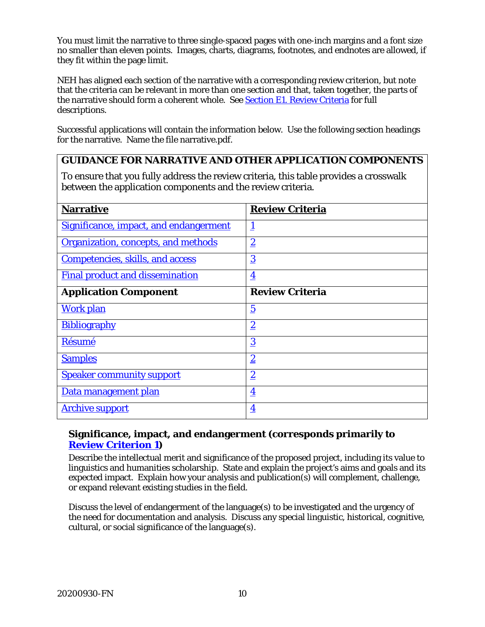You must limit the narrative to three single-spaced pages with one-inch margins and a font size no smaller than eleven points. Images, charts, diagrams, footnotes, and endnotes are allowed, if they fit within the page limit.

NEH has aligned each section of the narrative with a corresponding review criterion, but note that the criteria can be relevant in more than one section and that, taken together, the parts of the narrative should form a coherent whole. See [Section E1. Review Criteria](#page-18-1) for full descriptions.

Successful applications will contain the information below. Use the following section headings for the narrative. Name the file narrative.pdf.

#### <span id="page-12-0"></span>**GUIDANCE FOR NARRATIVE AND OTHER APPLICATION COMPONENTS**

To ensure that you fully address the review criteria, this table provides a crosswalk between the application components and the review criteria.

| <b>Narrative</b>                        | <b>Review Criteria</b>  |
|-----------------------------------------|-------------------------|
| Significance, impact, and endangerment  | <u>1</u>                |
| Organization, concepts, and methods     | $\overline{2}$          |
| <b>Competencies, skills, and access</b> | $\overline{3}$          |
| <b>Final product and dissemination</b>  | $\overline{\mathbf{4}}$ |
| <b>Application Component</b>            | <b>Review Criteria</b>  |
| <b>Work plan</b>                        | $\overline{5}$          |
| <b>Bibliography</b>                     | $\overline{2}$          |
| Résumé                                  | $\overline{3}$          |
| <b>Samples</b>                          | $\overline{2}$          |
| <b>Speaker community support</b>        | $\overline{2}$          |
| Data management plan                    | $\overline{\mathbf{4}}$ |
| <b>Archive support</b>                  | $\overline{\mathbf{4}}$ |

#### **Significance, impact, and endangerment (corresponds primarily to [Review Criterion 1\)](#page-18-1)**

Describe the intellectual merit and significance of the proposed project, including its value to linguistics and humanities scholarship. State and explain the project's aims and goals and its expected impact. Explain how your analysis and publication(s) will complement, challenge, or expand relevant existing studies in the field.

Discuss the level of endangerment of the language(s) to be investigated and the urgency of the need for documentation and analysis. Discuss any special linguistic, historical, cognitive, cultural, or social significance of the language(s).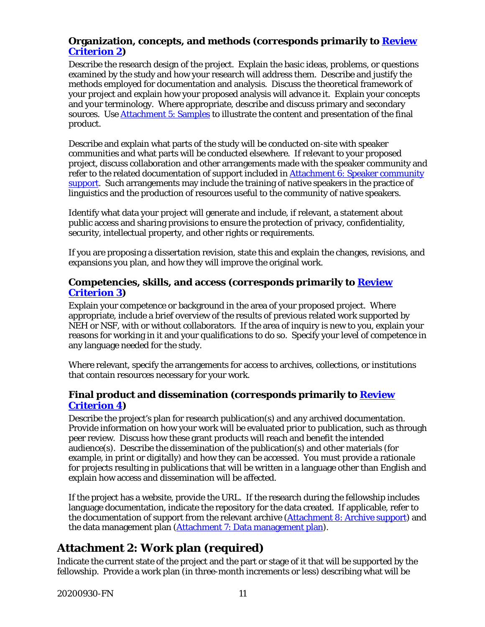#### <span id="page-13-1"></span>**Organization, concepts, and methods (corresponds primarily to [Review](#page-18-1)  [Criterion 2\)](#page-18-1)**

Describe the research design of the project. Explain the basic ideas, problems, or questions examined by the study and how your research will address them. Describe and justify the methods employed for documentation and analysis. Discuss the theoretical framework of your project and explain how your proposed analysis will advance it. Explain your concepts and your terminology. Where appropriate, describe and discuss primary and secondary sources. Use [Attachment 5: Samples](#page-14-1) to illustrate the content and presentation of the final product.

Describe and explain what parts of the study will be conducted on-site with speaker communities and what parts will be conducted elsewhere. If relevant to your proposed project, discuss collaboration and other arrangements made with the speaker community and refer to the related documentation of support included in [Attachment 6: Speaker community](#page-15-0)  [support.](#page-15-0) Such arrangements may include the training of native speakers in the practice of linguistics and the production of resources useful to the community of native speakers.

Identify what data your project will generate and include, if relevant, a statement about public access and sharing provisions to ensure the protection of privacy, confidentiality, security, intellectual property, and other rights or requirements.

If you are proposing a dissertation revision, state this and explain the changes, revisions, and expansions you plan, and how they will improve the original work.

#### <span id="page-13-2"></span>**Competencies, skills, and access (corresponds primarily to [Review](#page-18-1)  [Criterion](#page-18-1) 3)**

Explain your competence or background in the area of your proposed project. Where appropriate, include a brief overview of the results of previous related work supported by NEH or NSF, with or without collaborators. If the area of inquiry is new to you, explain your reasons for working in it and your qualifications to do so. Specify your level of competence in any language needed for the study.

Where relevant, specify the arrangements for access to archives, collections, or institutions that contain resources necessary for your work.

#### <span id="page-13-3"></span>**Final product and dissemination (corresponds primarily to [Review](#page-18-1)  [Criterion](#page-18-1) 4)**

Describe the project's plan for research publication(s) and any archived documentation. Provide information on how your work will be evaluated prior to publication, such as through peer review. Discuss how these grant products will reach and benefit the intended audience(s). Describe the dissemination of the publication(s) and other materials (for example, in print or digitally) and how they can be accessed. You must provide a rationale for projects resulting in publications that will be written in a language other than English and explain how access and dissemination will be affected.

If the project has a website, provide the URL. If the research during the fellowship includes language documentation, indicate the repository for the data created. If applicable, refer to the documentation of support from the relevant archive [\(Attachment 8: Archive support\)](#page-15-2) and the data management plan [\(Attachment 7: Data management plan\)](#page-15-1).

### <span id="page-13-0"></span>**Attachment 2: Work plan (required)**

Indicate the current state of the project and the part or stage of it that will be supported by the fellowship. Provide a work plan (in three-month increments or less) describing what will be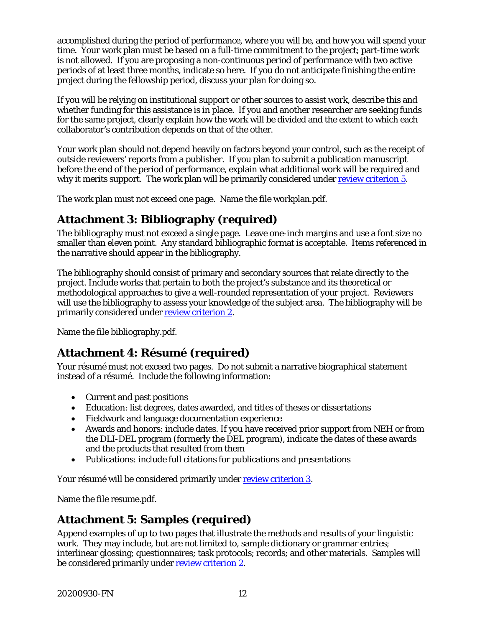accomplished during the period of performance, where you will be, and how you will spend your time. Your work plan must be based on a full-time commitment to the project; part-time work is not allowed. If you are proposing a non-continuous period of performance with two active periods of at least three months, indicate so here. If you do not anticipate finishing the entire project during the fellowship period, discuss your plan for doing so.

If you will be relying on institutional support or other sources to assist work, describe this and whether funding for this assistance is in place. If you and another researcher are seeking funds for the same project, clearly explain how the work will be divided and the extent to which each collaborator's contribution depends on that of the other.

Your work plan should not depend heavily on factors beyond your control, such as the receipt of outside reviewers' reports from a publisher. If you plan to submit a publication manuscript before the end of the period of performance, explain what additional work will be required and why it merits support. The work plan will be primarily considered under [review criterion 5.](#page-18-1)

The work plan must not exceed one page. Name the file workplan.pdf.

### **Attachment 3: Bibliography (required)**

The bibliography must not exceed a single page. Leave one-inch margins and use a font size no smaller than eleven point. Any standard bibliographic format is acceptable. Items referenced in the narrative should appear in the bibliography.

The bibliography should consist of primary and secondary sources that relate directly to the project. Include works that pertain to both the project's substance and its theoretical or methodological approaches to give a well-rounded representation of your project. Reviewers will use the bibliography to assess your knowledge of the subject area. The bibliography will be primarily considered under [review criterion 2.](#page-18-1)

<span id="page-14-0"></span>Name the file bibliography.pdf.

### **Attachment 4: Résumé (required)**

Your résumé must not exceed two pages. Do not submit a narrative biographical statement instead of a résumé. Include the following information:

- Current and past positions
- Education: list degrees, dates awarded, and titles of theses or dissertations
- Fieldwork and language documentation experience
- Awards and honors: include dates. If you have received prior support from NEH or from the DLI-DEL program (formerly the DEL program), indicate the dates of these awards and the products that resulted from them
- Publications: include full citations for publications and presentations

Your résumé will be considered primarily under [review criterion 3.](#page-18-1)

<span id="page-14-1"></span>Name the file resume.pdf.

### **Attachment 5: Samples (required)**

Append examples of up to two pages that illustrate the methods and results of your linguistic work. They may include, but are not limited to, sample dictionary or grammar entries; interlinear glossing; questionnaires; task protocols; records; and other materials. Samples will be considered primarily under [review criterion 2.](#page-18-1)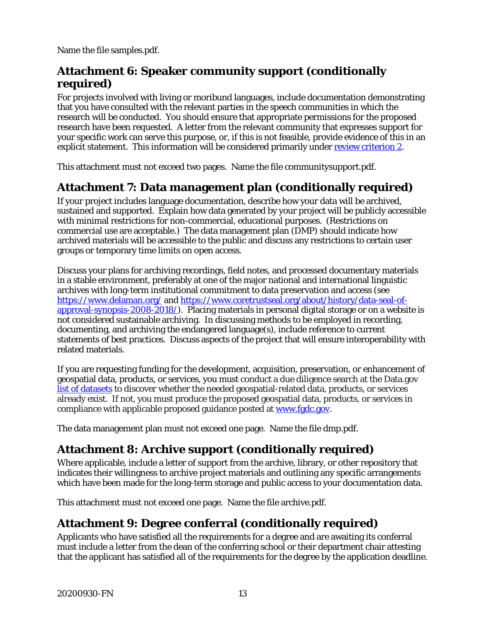Name the file samples.pdf.

### <span id="page-15-0"></span>**Attachment 6: Speaker community support (conditionally required)**

For projects involved with living or moribund languages, include documentation demonstrating that you have consulted with the relevant parties in the speech communities in which the research will be conducted. You should ensure that appropriate permissions for the proposed research have been requested. A letter from the relevant community that expresses support for your specific work can serve this purpose, or, if this is not feasible, provide evidence of this in an explicit statement. This information will be considered primarily under [review criterion 2.](#page-18-1)

This attachment must not exceed two pages. Name the file communitysupport.pdf.

### <span id="page-15-1"></span>**Attachment 7: Data management plan (conditionally required)**

If your project includes language documentation, describe how your data will be archived, sustained and supported. Explain how data generated by your project will be publicly accessible with minimal restrictions for non-commercial, educational purposes. (Restrictions on commercial use are acceptable.) The data management plan (DMP) should indicate how archived materials will be accessible to the public and discuss any restrictions to certain user groups or temporary time limits on open access.

Discuss your plans for archiving recordings, field notes, and processed documentary materials in a stable environment, preferably at one of the major national and international linguistic archives with long-term institutional commitment to data preservation and access (see <https://www.delaman.org/> and [https://www.coretrustseal.org/about/history/data-seal-of](https://www.coretrustseal.org/about/history/data-seal-of-approval-synopsis-2008-2018/)[approval-synopsis-2008-2018/\)](https://www.coretrustseal.org/about/history/data-seal-of-approval-synopsis-2008-2018/). Placing materials in personal digital storage or on a website is not considered sustainable archiving. In discussing methods to be employed in recording, documenting, and archiving the endangered language(s), include reference to current statements of best practices. Discuss aspects of the project that will ensure interoperability with related materials.

If you are requesting funding for the development, acquisition, preservation, or enhancement of geospatial data, products, or services, you must conduct a due diligence search at the Data.gov [list of datasets](https://catalog.data.gov/dataset) to discover whether the needed geospatial-related data, products, or services already exist. If not, you must produce the proposed geospatial data, products, or services in compliance with applicable proposed guidance posted at [www.fgdc.gov.](http://www.fgdc.gov/)

The data management plan must not exceed one page. Name the file dmp.pdf.

### <span id="page-15-2"></span>**Attachment 8: Archive support (conditionally required)**

Where applicable, include a letter of support from the archive, library, or other repository that indicates their willingness to archive project materials and outlining any specific arrangements which have been made for the long-term storage and public access to your documentation data.

This attachment must not exceed one page. Name the file archive.pdf.

### **Attachment 9: Degree conferral (conditionally required)**

Applicants who have satisfied all the requirements for a degree and are awaiting its conferral must include a letter from the dean of the conferring school or their department chair attesting that the applicant has satisfied all of the requirements for the degree by the application deadline.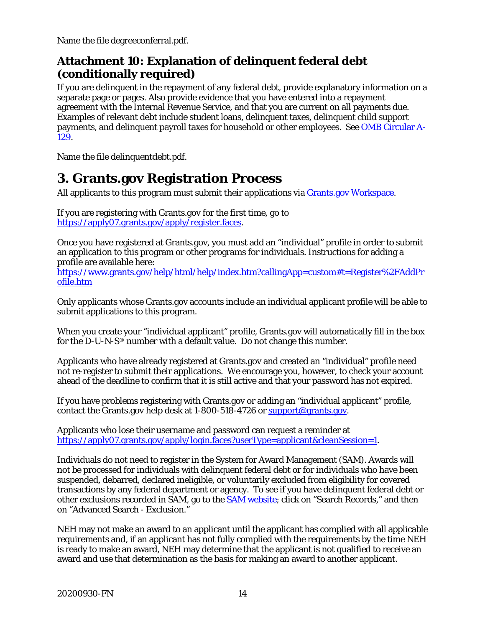<span id="page-16-1"></span>Name the file degreeconferral.pdf.

### **Attachment 10: Explanation of delinquent federal debt (conditionally required)**

If you are delinquent in the repayment of any federal debt, provide explanatory information on a separate page or pages. Also provide evidence that you have entered into a repayment agreement with the Internal Revenue Service, and that you are current on all payments due. Examples of relevant debt include student loans, delinquent taxes, delinquent child support payments, and delinquent payroll taxes for household or other employees. See [OMB Circular A-](https://www.whitehouse.gov/sites/whitehouse.gov/files/omb/circulars/A129/a-129.pdf)[129.](https://www.whitehouse.gov/sites/whitehouse.gov/files/omb/circulars/A129/a-129.pdf)

Name the file delinquentdebt.pdf.

## <span id="page-16-0"></span>**3. Grants.gov Registration Process**

All applicants to this program must submit their applications via [Grants.gov Workspace.](https://www.grants.gov/web/grants/applicants/workspace-overview.html)

If you are registering with Grants.gov for the first time, go to [https://apply07.grants.gov/apply/register.faces.](https://apply07.grants.gov/apply/register.faces)

Once you have registered at Grants.gov, you must add an "individual" profile in order to submit an application to this program or other programs for individuals. Instructions for adding a profile are available here:

[https://www.grants.gov/help/html/help/index.htm?callingApp=custom#t=Register%2FAddPr](https://www.grants.gov/help/html/help/index.htm?callingApp=custom#t=Register%2FAddProfile.htm) [ofile.htm](https://www.grants.gov/help/html/help/index.htm?callingApp=custom#t=Register%2FAddProfile.htm)

Only applicants whose Grants.gov accounts include an individual applicant profile will be able to submit applications to this program.

When you create your "individual applicant" profile, Grants.gov will automatically fill in the box for the D-U-N-S® number with a default value. Do not change this number.

Applicants who have already registered at Grants.gov and created an "individual" profile need not re-register to submit their applications. We encourage you, however, to check your account ahead of the deadline to confirm that it is still active and that your password has not expired.

If you have problems registering with Grants.gov or adding an "individual applicant" profile, contact the Grants.gov help desk at 1-800-518-4726 or [support@grants.gov.](mailto:support@grants.gov)

Applicants who lose their username and password can request a reminder at [https://apply07.grants.gov/apply/login.faces?userType=applicant&cleanSession=1.](https://apply07.grants.gov/apply/login.faces?userType=applicant&cleanSession=1)

Individuals do not need to register in the System for Award Management (SAM). Awards will not be processed for individuals with delinquent federal debt or for individuals who have been suspended, debarred, declared ineligible, or voluntarily excluded from eligibility for covered transactions by any federal department or agency. To see if you have delinquent federal debt or other exclusions recorded in SAM, go to the **SAM** website; click on "Search Records," and then on "Advanced Search - Exclusion."

NEH may not make an award to an applicant until the applicant has complied with all applicable requirements and, if an applicant has not fully complied with the requirements by the time NEH is ready to make an award, NEH may determine that the applicant is not qualified to receive an award and use that determination as the basis for making an award to another applicant.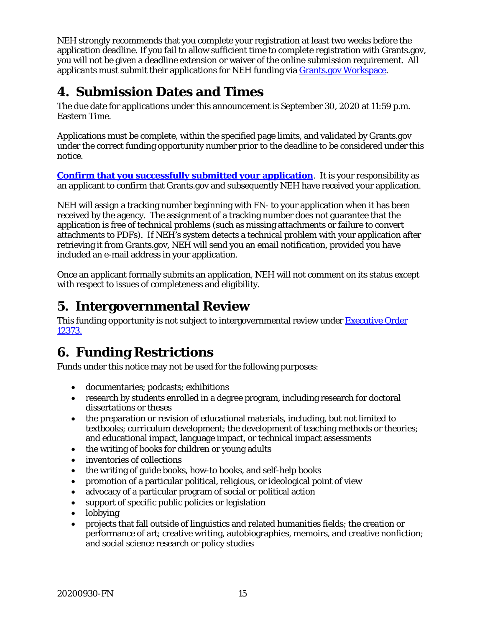NEH strongly recommends that you complete your registration at least two weeks before the application deadline. If you fail to allow sufficient time to complete registration with Grants.gov, you will not be given a deadline extension or waiver of the online submission requirement. All applicants must submit their applications for NEH funding via [Grants.gov Workspace.](https://www.grants.gov/web/grants/applicants/workspace-overview.html)

## <span id="page-17-0"></span>**4. Submission Dates and Times**

The due date for applications under this announcement is September 30, 2020 at 11:59 p.m. Eastern Time.

Applications must be complete, within the specified page limits, and validated by Grants.gov under the correct funding opportunity number prior to the deadline to be considered under this notice.

**[Confirm that you successfully submitted your application](https://www.grants.gov/help/html/help/Applicants/CheckApplicationStatus/CheckApplicationStatus.htm)**. It is your responsibility as an applicant to confirm that Grants.gov and subsequently NEH have received your application.

NEH will assign a tracking number beginning with FN- to your application when it has been received by the agency. The assignment of a tracking number does not guarantee that the application is free of technical problems (such as missing attachments or failure to convert attachments to PDFs). If NEH's system detects a technical problem with your application after retrieving it from Grants.gov, NEH will send you an email notification, provided you have included an e-mail address in your application.

Once an applicant formally submits an application, NEH will not comment on its status except with respect to issues of completeness and eligibility.

## <span id="page-17-1"></span>**5. Intergovernmental Review**

This funding opportunity is not subject to intergovernmental review under **Executive Order** [12373.](https://www.archives.gov/federal-register/codification/executive-order/12372.html)

## <span id="page-17-2"></span>**6. Funding Restrictions**

Funds under this notice may not be used for the following purposes:

- documentaries; podcasts; exhibitions
- research by students enrolled in a degree program, including research for doctoral dissertations or theses
- the preparation or revision of educational materials, including, but not limited to textbooks; curriculum development; the development of teaching methods or theories; and educational impact, language impact, or technical impact assessments
- the writing of books for children or young adults
- inventories of collections
- the writing of guide books, how-to books, and self-help books
- promotion of a particular political, religious, or ideological point of view
- advocacy of a particular program of social or political action
- support of specific public policies or legislation
- lobbying
- projects that fall outside of linguistics and related humanities fields; the creation or performance of art; creative writing, autobiographies, memoirs, and creative nonfiction; and social science research or policy studies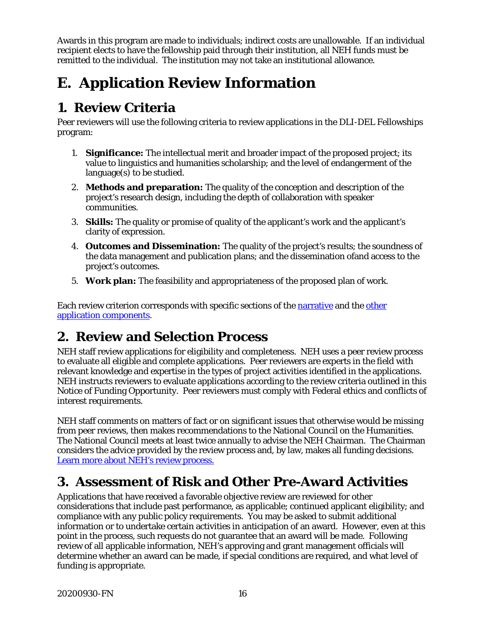Awards in this program are made to individuals; indirect costs are unallowable. If an individual recipient elects to have the fellowship paid through their institution, all NEH funds must be remitted to the individual. The institution may not take an institutional allowance.

# <span id="page-18-0"></span>**E. Application Review Information**

### <span id="page-18-1"></span>**1. Review Criteria**

Peer reviewers will use the following criteria to review applications in the DLI-DEL Fellowships program:

- 1. **Significance:** The intellectual merit and broader impact of the proposed project; its value to linguistics and humanities scholarship; and the level of endangerment of the language(s) to be studied.
- 2. **Methods and preparation:** The quality of the conception and description of the project's research design, including the depth of collaboration with speaker communities.
- 3. **Skills:** The quality or promise of quality of the applicant's work and the applicant's clarity of expression.
- 4. **Outcomes and Dissemination:** The quality of the project's results; the soundness of the data management and publication plans; and the dissemination ofand access to the project's outcomes.
- 5. **Work plan:** The feasibility and appropriateness of the proposed plan of work.

Each review criterion corresponds with specific sections of the [narrative](#page-11-1) and the [other](#page-8-0)  [application components.](#page-8-0)

## <span id="page-18-2"></span>**2. Review and Selection Process**

NEH staff review applications for eligibility and completeness. NEH uses a peer review process to evaluate all eligible and complete applications. Peer reviewers are experts in the field with relevant knowledge and expertise in the types of project activities identified in the applications. NEH instructs reviewers to evaluate applications according to the review criteria outlined in this Notice of Funding Opportunity. Peer reviewers must comply with Federal ethics and conflicts of interest requirements.

NEH staff comments on matters of fact or on significant issues that otherwise would be missing from peer reviews, then makes recommendations to the National Council on the Humanities. The National Council meets at least twice annually to advise the NEH Chairman. The Chairman considers the advice provided by the review process and, by law, makes all funding decisions. [Learn more about NEH's review process.](https://www.neh.gov/grants/application-process)

## <span id="page-18-3"></span>**3. Assessment of Risk and Other Pre-Award Activities**

Applications that have received a favorable objective review are reviewed for other considerations that include past performance, as applicable; continued applicant eligibility; and compliance with any public policy requirements. You may be asked to submit additional information or to undertake certain activities in anticipation of an award. However, even at this point in the process, such requests do not guarantee that an award will be made. Following review of all applicable information, NEH's approving and grant management officials will determine whether an award can be made, if special conditions are required, and what level of funding is appropriate.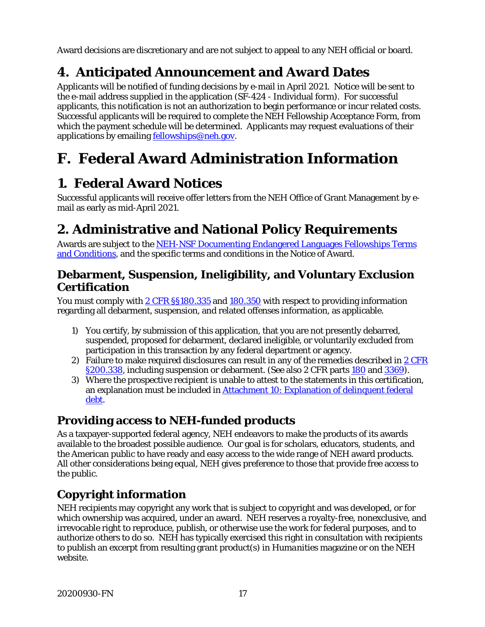Award decisions are discretionary and are not subject to appeal to any NEH official or board.

## <span id="page-19-0"></span>**4. Anticipated Announcement and Award Dates**

Applicants will be notified of funding decisions by e-mail in April 2021. Notice will be sent to the e-mail address supplied in the application (SF-424 - Individual form). For successful applicants, this notification is not an authorization to begin performance or incur related costs. Successful applicants will be required to complete the NEH Fellowship Acceptance Form, from which the payment schedule will be determined. Applicants may request evaluations of their applications by emailing **[fellowships@neh.gov.](mailto:fellowships@neh.gov)** 

# <span id="page-19-1"></span>**F. Federal Award Administration Information**

## <span id="page-19-2"></span>**1. Federal Award Notices**

Successful applicants will receive offer letters from the NEH Office of Grant Management by email as early as mid-April 2021.

## <span id="page-19-3"></span>**2. Administrative and National Policy Requirements**

Awards are subject to the NEH-NSF Documenting Endangered Languages Fellowships Terms [and Conditions,](https://www.neh.gov/grants/manage/neh-nsf-documenting-endangered-languages-fellowships-terms-and-conditions) and the specific terms and conditions in the Notice of Award.

### **Debarment, Suspension, Ineligibility, and Voluntary Exclusion Certification**

You must comply with [2 CFR §§180.335](https://www.ecfr.gov/cgi-bin/text-idx?node=2:1.1.1.2.9.3.3.8&rgn=div8) and [180.350](https://www.ecfr.gov/cgi-bin/text-idx?SID=8484a1410effbe760bcb6b134d9c035a&mc=true&node=pt2.1.180&rgn=div5#se2.1.180_1350) with respect to providing information regarding all debarment, suspension, and related offenses information, as applicable.

- 1) You certify, by submission of this application, that you are not presently debarred, suspended, proposed for debarment, declared ineligible, or voluntarily excluded from participation in this transaction by any federal department or agency.
- 2) Failure to make required disclosures can result in any of the remedies described in  $2 \text{ CFR}$ [§200.338,](https://www.ecfr.gov/cgi-bin/text-idx?SID=2262ad9c20e9d3a49f2c569c773c8aa1&mc=true&node=pt2.1.200&rgn=div5#se2.1.200_1338) including suspension or debarment. (See also 2 CFR parts [180](https://www.ecfr.gov/cgi-bin/text-idx?tpl=/ecfrbrowse/Title02/2cfr180_main_02.tpl) and [3369\)](https://www.ecfr.gov/cgi-bin/text-idx?SID=902a748402bef7d8543f27adaf553773&mc=true&node=pt2.1.3369&rgn=div5).
- 3) Where the prospective recipient is unable to attest to the statements in this certification, an explanation must be included in Attachment [10: Explanation of delinquent federal](#page-16-1)  [debt.](#page-16-1)

### **Providing access to NEH-funded products**

As a taxpayer-supported federal agency, NEH endeavors to make the products of its awards available to the broadest possible audience. Our goal is for scholars, educators, students, and the American public to have ready and easy access to the wide range of NEH award products. All other considerations being equal, NEH gives preference to those that provide free access to the public.

## **Copyright information**

NEH recipients may copyright any work that is subject to copyright and was developed, or for which ownership was acquired, under an award. NEH reserves a royalty-free, nonexclusive, and irrevocable right to reproduce, publish, or otherwise use the work for federal purposes, and to authorize others to do so. NEH has typically exercised this right in consultation with recipients to publish an excerpt from resulting grant product(s) in *Humanities* magazine or on the NEH website.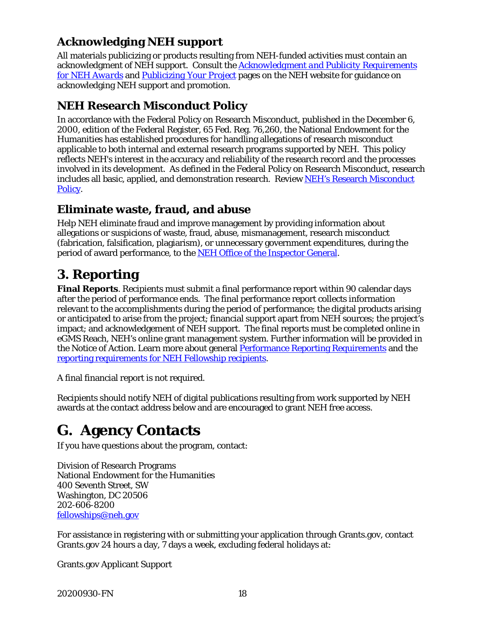### **Acknowledging NEH support**

All materials publicizing or products resulting from NEH-funded activities must contain an acknowledgment of NEH support. Consult the *[Acknowledgment and Publicity Requirements](https://www.neh.gov/grants/manage/acknowledgment-and-publicity-requirements-neh-awards)  [for NEH Awards](https://www.neh.gov/grants/manage/acknowledgment-and-publicity-requirements-neh-awards)* and *[Publicizing Your Project](https://www.neh.gov/grants/manage/publicizing-your-project)* pages on the NEH website for guidance on acknowledging NEH support and promotion.

### **NEH Research Misconduct Policy**

In accordance with the Federal Policy on Research Misconduct, published in the December 6, 2000, edition of the Federal Register, 65 Fed. Reg. 76,260, the National Endowment for the Humanities has established procedures for handling allegations of research misconduct applicable to both internal and external research programs supported by NEH. This policy reflects NEH's interest in the accuracy and reliability of the research record and the processes involved in its development. As defined in the Federal Policy on Research Misconduct, research includes all basic, applied, and demonstration research. Review NEH's Research Misconduct [Policy.](http://www.neh.gov/grants/manage/research-misconduct-policy)

### **Eliminate waste, fraud, and abuse**

Help NEH eliminate fraud and improve management by providing information about allegations or suspicions of waste, fraud, abuse, mismanagement, research misconduct (fabrication, falsification, plagiarism), or unnecessary government expenditures, during the period of award performance, to the [NEH Office of the Inspector General.](https://www.neh.gov/about/oig)

## <span id="page-20-0"></span>**3. Reporting**

**Final Reports**. Recipients must submit a final performance report within 90 calendar days after the period of performance ends. The final performance report collects information relevant to the accomplishments during the period of performance; the digital products arising or anticipated to arise from the project; financial support apart from NEH sources; the project's impact; and acknowledgement of NEH support. The final reports must be completed online in eGMS Reach, NEH's online grant management system. Further information will be provided in the Notice of Action. Learn more about general **Performance Reporting Requirements** and the [reporting requirements for NEH Fellowship recipients.](https://www.neh.gov/grants/manage/instructions-submitting-the-final-performance-report-neh-fellowships-faculty-research)

A final financial report is not required.

Recipients should notify NEH of digital publications resulting from work supported by NEH awards at the contact address below and are encouraged to grant NEH free access.

# <span id="page-20-1"></span>**G. Agency Contacts**

If you have questions about the program, contact:

Division of Research Programs National Endowment for the Humanities 400 Seventh Street, SW Washington, DC 20506 202-606-8200 [fellowships@neh.gov](mailto:fellowships@neh.gov)

For assistance in registering with or submitting your application through Grants.gov, contact Grants.gov 24 hours a day, 7 days a week, excluding federal holidays at:

Grants.gov Applicant Support